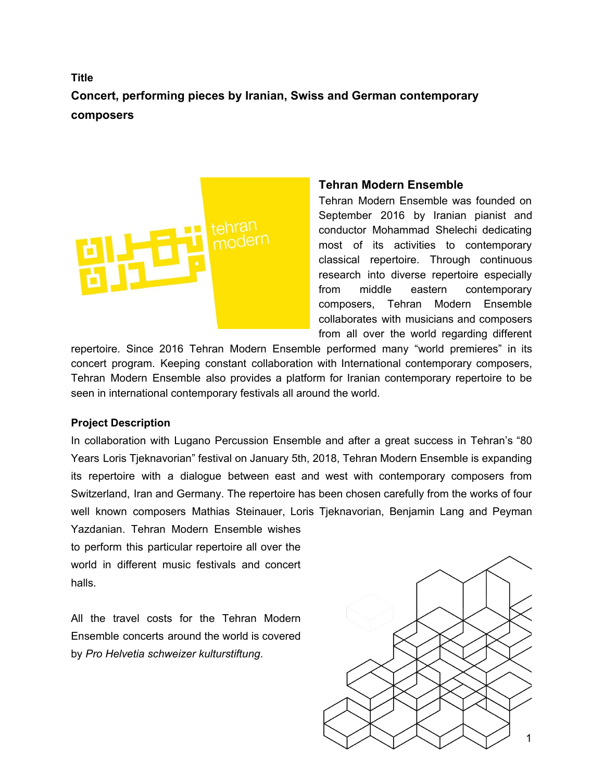# **Title Concert, performing pieces by Iranian, Swiss and German contemporary composers**



### **Tehran Modern Ensemble**

Tehran Modern Ensemble was founded on September 2016 by Iranian pianist and conductor Mohammad Shelechi dedicating most of its activities to contemporary classical repertoire. Through continuous research into diverse repertoire especially from middle eastern contemporary composers, Tehran Modern Ensemble collaborates with musicians and composers from all over the world regarding different

repertoire. Since 2016 Tehran Modern Ensemble performed many "world premieres" in its concert program. Keeping constant collaboration with International contemporary composers, Tehran Modern Ensemble also provides a platform for Iranian contemporary repertoire to be seen in international contemporary festivals all around the world.

#### **Project Description**

In collaboration with Lugano Percussion Ensemble and after a great success in Tehran's "80 Years Loris Tjeknavorian" festival on January 5th, 2018, Tehran Modern Ensemble is expanding its repertoire with a dialogue between east and west with contemporary composers from Switzerland, Iran and Germany. The repertoire has been chosen carefully from the works of four well known composers Mathias Steinauer, Loris Tjeknavorian, Benjamin Lang and Peyman

Yazdanian. Tehran Modern Ensemble wishes to perform this particular repertoire all over the world in different music festivals and concert halls.

All the travel costs for the Tehran Modern Ensemble concerts around the world is covered by *Pro Helvetia schweizer kulturstiftung*.

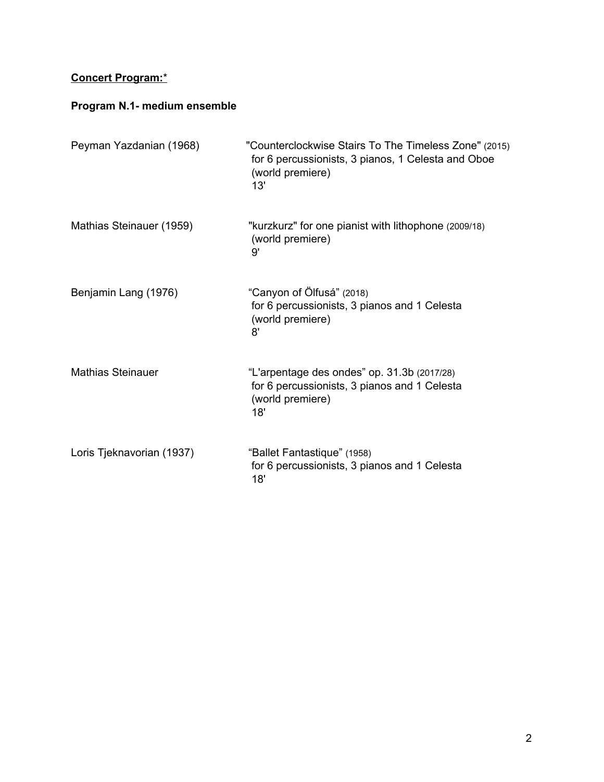## **Concert Program:**\*

# **Program N.1- medium ensemble**

| Peyman Yazdanian (1968)   | "Counterclockwise Stairs To The Timeless Zone" (2015)<br>for 6 percussionists, 3 pianos, 1 Celesta and Oboe<br>(world premiere)<br>13' |
|---------------------------|----------------------------------------------------------------------------------------------------------------------------------------|
| Mathias Steinauer (1959)  | "kurzkurz" for one pianist with lithophone (2009/18)<br>(world premiere)<br>9'                                                         |
| Benjamin Lang (1976)      | "Canyon of Ölfusá" (2018)<br>for 6 percussionists, 3 pianos and 1 Celesta<br>(world premiere)<br>8'                                    |
| <b>Mathias Steinauer</b>  | "L'arpentage des ondes" op. 31.3b (2017/28)<br>for 6 percussionists, 3 pianos and 1 Celesta<br>(world premiere)<br>18'                 |
| Loris Tjeknavorian (1937) | "Ballet Fantastique" (1958)<br>for 6 percussionists, 3 pianos and 1 Celesta<br>18'                                                     |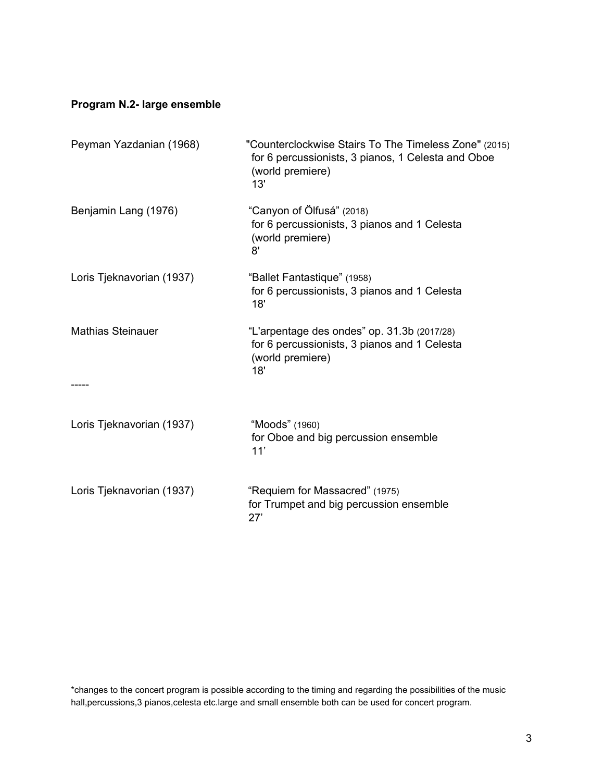## **Program N.2- large ensemble**

| Peyman Yazdanian (1968)   | "Counterclockwise Stairs To The Timeless Zone" (2015)<br>for 6 percussionists, 3 pianos, 1 Celesta and Oboe<br>(world premiere)<br>13' |
|---------------------------|----------------------------------------------------------------------------------------------------------------------------------------|
| Benjamin Lang (1976)      | "Canyon of Ölfusá" (2018)<br>for 6 percussionists, 3 pianos and 1 Celesta<br>(world premiere)<br>8'                                    |
| Loris Tjeknavorian (1937) | "Ballet Fantastique" (1958)<br>for 6 percussionists, 3 pianos and 1 Celesta<br>18'                                                     |
| <b>Mathias Steinauer</b>  | "L'arpentage des ondes" op. 31.3b (2017/28)<br>for 6 percussionists, 3 pianos and 1 Celesta<br>(world premiere)<br>18'                 |
| Loris Tjeknavorian (1937) | "Moods" (1960)<br>for Oboe and big percussion ensemble<br>11'                                                                          |
| Loris Tjeknavorian (1937) | "Requiem for Massacred" (1975)<br>for Trumpet and big percussion ensemble<br>27'                                                       |

\*changes to the concert program is possible according to the timing and regarding the possibilities of the music hall,percussions,3 pianos,celesta etc.large and small ensemble both can be used for concert program.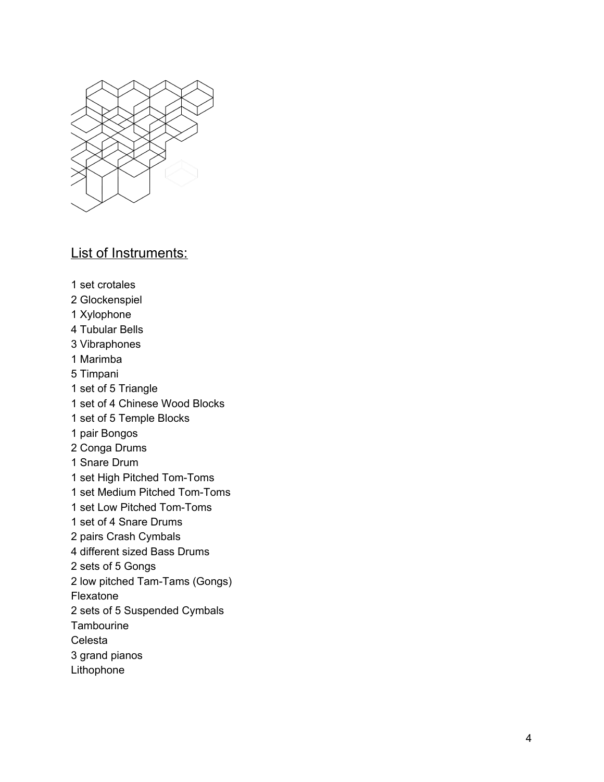

## List of Instruments:

1 set crotales

- 2 Glockenspiel
- 1 Xylophone
- 4 Tubular Bells
- 3 Vibraphones
- 1 Marimba
- 5 Timpani
- 1 set of 5 Triangle
- 1 set of 4 Chinese Wood Blocks
- 1 set of 5 Temple Blocks
- 1 pair Bongos
- 2 Conga Drums
- 1 Snare Drum
- 1 set High Pitched Tom-Toms
- 1 set Medium Pitched Tom-Toms
- 1 set Low Pitched Tom-Toms
- 1 set of 4 Snare Drums
- 2 pairs Crash Cymbals
- 4 different sized Bass Drums
- 2 sets of 5 Gongs
- 2 low pitched Tam-Tams (Gongs)

Flexatone

- 2 sets of 5 Suspended Cymbals
- **Tambourine**
- Celesta
- 3 grand pianos
- Lithophone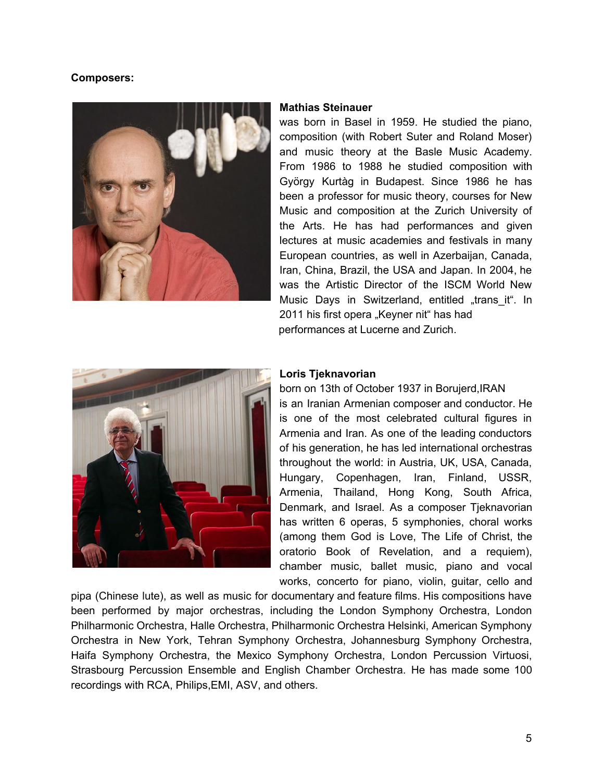#### **Composers:**



#### **Mathias Steinauer**

was born in Basel in 1959. He studied the piano, composition (with Robert Suter and Roland Moser) and music theory at the Basle Music Academy. From 1986 to 1988 he studied composition with György Kurtàg in Budapest. Since 1986 he has been a professor for music theory, courses for New Music and composition at the Zurich University of the Arts. He has had performances and given lectures at music academies and festivals in many European countries, as well in Azerbaijan, Canada, Iran, China, Brazil, the USA and Japan. In 2004, he was the Artistic Director of the ISCM World New Music Days in Switzerland, entitled "trans it". In 2011 his first opera "Keyner nit" has had performances at Lucerne and Zurich.



#### **Loris Tjeknavorian**

born on 13th of October 1937 in Borujerd,IRAN is an Iranian Armenian composer and conductor. He is one of the most celebrated cultural figures in Armenia and Iran. As one of the leading conductors of his generation, he has led international orchestras throughout the world: in Austria, UK, USA, Canada, Hungary, Copenhagen, Iran, Finland, USSR, Armenia, Thailand, Hong Kong, South Africa, Denmark, and Israel. As a composer Tjeknavorian has written 6 operas, 5 symphonies, choral works (among them God is Love, The Life of Christ, the oratorio Book of Revelation, and a requiem), chamber music, ballet music, piano and vocal works, concerto for piano, violin, guitar, cello and

pipa (Chinese lute), as well as music for documentary and feature films. His compositions have been performed by major orchestras, including the London Symphony Orchestra, London Philharmonic Orchestra, Halle Orchestra, Philharmonic Orchestra Helsinki, American Symphony Orchestra in New York, Tehran Symphony Orchestra, Johannesburg Symphony Orchestra, Haifa Symphony Orchestra, the Mexico Symphony Orchestra, London Percussion Virtuosi, Strasbourg Percussion Ensemble and English Chamber Orchestra. He has made some 100 recordings with RCA, Philips,EMI, ASV, and others.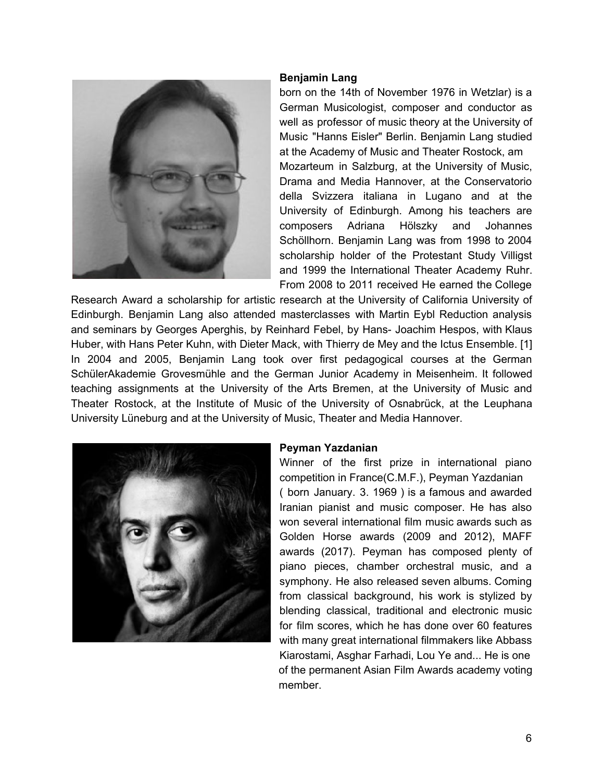

#### **Benjamin Lang**

born on the 14th of November 1976 in Wetzlar) is a German Musicologist, composer and conductor as well as professor of music theory at the University of Music "Hanns Eisler" Berlin. Benjamin Lang studied at the Academy of Music and Theater Rostock, am Mozarteum in Salzburg, at the University of Music, Drama and Media Hannover, at the Conservatorio della Svizzera italiana in Lugano and at the University of Edinburgh. Among his teachers are composers Adriana Hölszky and Johannes Schöllhorn. Benjamin Lang was from 1998 to 2004 scholarship holder of the Protestant Study Villigst and 1999 the International Theater Academy Ruhr. From 2008 to 2011 received He earned the College

Research Award a scholarship for artistic research at the University of California University of Edinburgh. Benjamin Lang also attended masterclasses with Martin Eybl Reduction analysis and seminars by Georges Aperghis, by Reinhard Febel, by Hans- Joachim Hespos, with Klaus Huber, with Hans Peter Kuhn, with Dieter Mack, with Thierry de Mey and the Ictus Ensemble. [1] In 2004 and 2005, Benjamin Lang took over first pedagogical courses at the German SchülerAkademie Grovesmühle and the German Junior Academy in Meisenheim. It followed teaching assignments at the University of the Arts Bremen, at the University of Music and Theater Rostock, at the Institute of Music of the University of Osnabrück, at the Leuphana University Lüneburg and at the University of Music, Theater and Media Hannover.



#### **Peyman Yazdanian**

Winner of the first prize in international piano competition in France(C.M.F.), Peyman Yazdanian ( born January. 3. 1969 ) is a famous and awarded Iranian pianist and music composer. He has also won several international film music awards such as Golden Horse awards (2009 and 2012), MAFF awards (2017). Peyman has composed plenty of piano pieces, chamber orchestral music, and a symphony. He also released seven albums. Coming from classical background, his work is stylized by blending classical, traditional and electronic music for film scores, which he has done over 60 features with many great international filmmakers like Abbass Kiarostami, Asghar Farhadi, Lou Ye and... He is one of the permanent Asian Film Awards academy voting member.